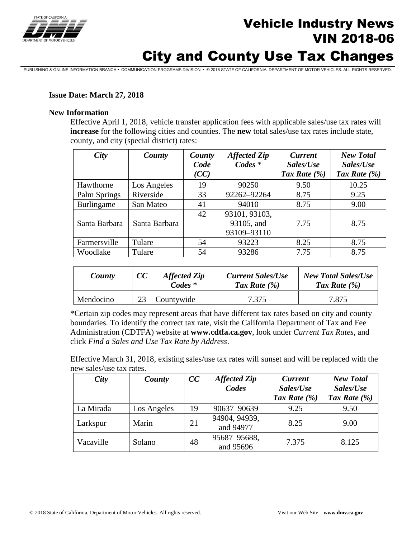

# Vehicle Industry News VIN 2018-06

# City and County Use Tax Changes

PUBLISHING & ONLINE INFORMATION BRANCH • COMMUNICATION PROGRAMS DIVISION • © 2018 STATE OF CALIFORNIA, DEPARTMENT OF MOTOR VEHICLES. ALL RIGHTS RESERVED.

### **Issue Date: March 27, 2018**

#### **New Information**

Effective April 1, 2018, vehicle transfer application fees with applicable sales/use tax rates will **increase** for the following cities and counties. The **new** total sales/use tax rates include state, county, and city (special district) rates:

| City          | County        | County | <b>Affected Zip</b> | <b>Current</b>  | <b>New Total</b> |
|---------------|---------------|--------|---------------------|-----------------|------------------|
|               |               | Code   | $Codes *$           | Sales/Use       | Sales/Use        |
|               |               | (CC)   |                     | Tax Rate $(\%)$ | Tax Rate $(\% )$ |
| Hawthorne     | Los Angeles   | 19     | 90250               | 9.50            | 10.25            |
| Palm Springs  | Riverside     | 33     | 92262-92264         | 8.75            | 9.25             |
| Burlingame    | San Mateo     | 41     | 94010               | 8.75            | 9.00             |
|               |               | 42     | 93101, 93103,       |                 |                  |
| Santa Barbara | Santa Barbara |        | 93105, and          | 7.75            | 8.75             |
|               |               |        | 93109-93110         |                 |                  |
| Farmersville  | Tulare        | 54     | 93223               | 8.25            | 8.75             |
| Woodlake      | Tulare        | 54     | 93286               | 7.75            | 8.75             |

| County    | CC | <b>Affected Zip</b><br>$\mathbf{C}$ odes $*$ | <b>Current Sales/Use</b><br>Tax Rate $(\% )$ | <b>New Total Sales/Use</b><br>Tax Rate $(\% )$ |
|-----------|----|----------------------------------------------|----------------------------------------------|------------------------------------------------|
| Mendocino |    | Countywide                                   | 7.375                                        | 7.875                                          |

\*Certain zip codes may represent areas that have different tax rates based on city and county boundaries. To identify the correct tax rate, visit the California Department of Tax and Fee Administration (CDTFA) website at **www.cdtfa.ca.gov**, look under *Current Tax Rates*, and click *Find a Sales and Use Tax Rate by Address*.

Effective March 31, 2018, existing sales/use tax rates will sunset and will be replaced with the new sales/use tax rates.

| <b>City</b> | County      | CC | <b>Affected Zip</b><br>Codes | <b>Current</b><br>Sales/Use<br>Tax Rate $(\% )$ | <b>New Total</b><br>Sales/Use<br>Tax Rate (%) |
|-------------|-------------|----|------------------------------|-------------------------------------------------|-----------------------------------------------|
| La Mirada   | Los Angeles | 19 | 90637-90639                  | 9.25                                            | 9.50                                          |
| Larkspur    | Marin       | 21 | 94904, 94939,<br>and 94977   | 8.25                                            | 9.00                                          |
| Vacaville   | Solano      | 48 | 95687-95688,<br>and 95696    | 7.375                                           | 8.125                                         |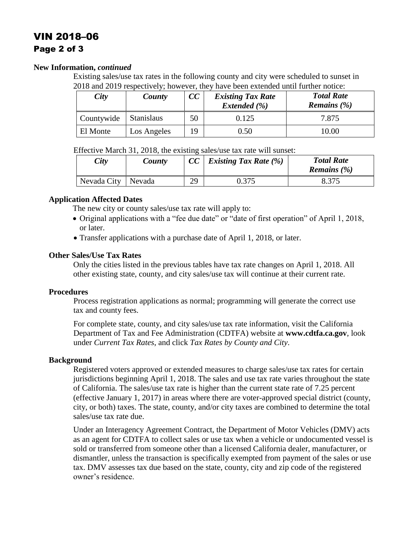## VIN 2018–06 Page 2 of 3

#### **New Information,** *continued*

Existing sales/use tax rates in the following county and city were scheduled to sunset in 2018 and 2019 respectively; however, they have been extended until further notice:

| City       | County      | cc | <b>Existing Tax Rate</b><br>Extended (%) | <b>Total Rate</b><br><i>Remains</i> $(\%)$ |
|------------|-------------|----|------------------------------------------|--------------------------------------------|
| Countywide | Stanislaus  | 50 | 0.125                                    | 7.875                                      |
| El Monte   | Los Angeles | 9  | 0.50                                     | 10.00                                      |

Effective March 31, 2018, the existing sales/use tax rate will sunset:

| City                 | County | CC | <i>Existing Tax Rate</i> $(\%)$ | <b>Total Rate</b><br><i>Remains</i> $(\%)$ |
|----------------------|--------|----|---------------------------------|--------------------------------------------|
| Nevada City   Nevada |        | 29 | 0.375                           | 8.375                                      |

### **Application Affected Dates**

The new city or county sales/use tax rate will apply to:

- Original applications with a "fee due date" or "date of first operation" of April 1, 2018, or later.
- Transfer applications with a purchase date of April 1, 2018, or later.

### **Other Sales/Use Tax Rates**

Only the cities listed in the previous tables have tax rate changes on April 1, 2018. All other existing state, county, and city sales/use tax will continue at their current rate.

#### **Procedures**

Process registration applications as normal; programming will generate the correct use tax and county fees.

For complete state, county, and city sales/use tax rate information, visit the California Department of Tax and Fee Administration (CDTFA) website at **www.cdtfa.ca.gov**, look under *Current Tax Rates*, and click *Tax Rates by County and City*.

### **Background**

Registered voters approved or extended measures to charge sales/use tax rates for certain jurisdictions beginning April 1, 2018. The sales and use tax rate varies throughout the state of California. The sales/use tax rate is higher than the current state rate of 7.25 percent (effective January 1, 2017) in areas where there are voter-approved special district (county, city, or both) taxes. The state, county, and/or city taxes are combined to determine the total sales/use tax rate due.

Under an Interagency Agreement Contract, the Department of Motor Vehicles (DMV) acts as an agent for CDTFA to collect sales or use tax when a vehicle or undocumented vessel is sold or transferred from someone other than a licensed California dealer, manufacturer, or dismantler, unless the transaction is specifically exempted from payment of the sales or use tax. DMV assesses tax due based on the state, county, city and zip code of the registered owner's residence.